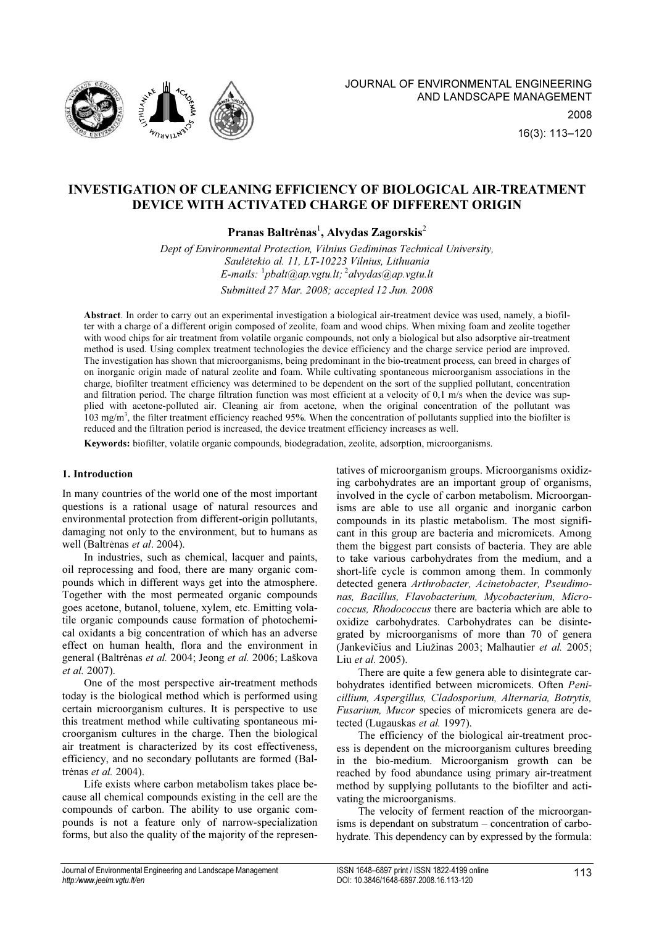

# INVESTIGATION OF CLEANING EFFICIENCY OF BIOLOGICAL AIR-TREATMENT DEVICE WITH ACTIVATED CHARGE OF DIFFERENT ORIGIN

Pranas Baltrėnas $^{\rm l}$ , Alvydas Zagorskis $^{\rm 2}$ 

Dept of Environmental Protection, Vilnius Gediminas Technical University, Saulėtekio al. 11, LT-10223 Vilnius, Lithuania E-mails:  $^{1}$ pbalt@ap.vgtu.lt;  $^{2}$ alvydas@ap.vgtu.lt Submitted 27 Mar. 2008; accepted 12 Jun. 2008

Abstract. In order to carry out an experimental investigation a biological air-treatment device was used, namely, a biofilter with a charge of a different origin composed of zeolite, foam and wood chips. When mixing foam and zeolite together with wood chips for air treatment from volatile organic compounds, not only a biological but also adsorptive air-treatment method is used. Using complex treatment technologies the device efficiency and the charge service period are improved. The investigation has shown that microorganisms, being predominant in the bio-treatment process, can breed in charges of on inorganic origin made of natural zeolite and foam. While cultivating spontaneous microorganism associations in the charge, biofilter treatment efficiency was determined to be dependent on the sort of the supplied pollutant, concentration and filtration period. The charge filtration function was most efficient at a velocity of 0,1 m/s when the device was supplied with acetone-polluted air. Cleaning air from acetone, when the original concentration of the pollutant was 103 mg/m<sup>3</sup>, the filter treatment efficiency reached 95%. When the concentration of pollutants supplied into the biofilter is reduced and the filtration period is increased, the device treatment efficiency increases as well.

Keywords: biofilter, volatile organic compounds, biodegradation, zeolite, adsorption, microorganisms.

# 1. Introduction

In many countries of the world one of the most important questions is a rational usage of natural resources and environmental protection from different-origin pollutants, damaging not only to the environment, but to humans as well (Baltrėnas et al. 2004).

In industries, such as chemical, lacquer and paints, oil reprocessing and food, there are many organic compounds which in different ways get into the atmosphere. Together with the most permeated organic compounds goes acetone, butanol, toluene, xylem, etc. Emitting volatile organic compounds cause formation of photochemical oxidants a big concentration of which has an adverse effect on human health, flora and the environment in general (Baltrėnas et al. 2004; Jeong et al. 2006; Laškova et al. 2007).

One of the most perspective air-treatment methods today is the biological method which is performed using certain microorganism cultures. It is perspective to use this treatment method while cultivating spontaneous microorganism cultures in the charge. Then the biological air treatment is characterized by its cost effectiveness, efficiency, and no secondary pollutants are formed (Baltrėnas et al. 2004).

Life exists where carbon metabolism takes place because all chemical compounds existing in the cell are the compounds of carbon. The ability to use organic compounds is not a feature only of narrow-specialization forms, but also the quality of the majority of the representatives of microorganism groups. Microorganisms oxidizing carbohydrates are an important group of organisms, involved in the cycle of carbon metabolism. Microorganisms are able to use all organic and inorganic carbon compounds in its plastic metabolism. The most significant in this group are bacteria and micromicets. Among them the biggest part consists of bacteria. They are able to take various carbohydrates from the medium, and a short-life cycle is common among them. In commonly detected genera Arthrobacter, Acinetobacter, Pseudimonas, Bacillus, Flavobacterium, Mycobacterium, Micrococcus, Rhodococcus there are bacteria which are able to oxidize carbohydrates. Carbohydrates can be disintegrated by microorganisms of more than 70 of genera (Jankevičius and Liužinas 2003; Malhautier et al. 2005; Liu et al. 2005).

There are quite a few genera able to disintegrate carbohydrates identified between micromicets. Often Penicillium, Aspergillus, Cladosporium, Alternaria, Botrytis, Fusarium, Mucor species of micromicets genera are detected (Lugauskas et al. 1997).

The efficiency of the biological air-treatment process is dependent on the microorganism cultures breeding in the bio-medium. Microorganism growth can be reached by food abundance using primary air-treatment method by supplying pollutants to the biofilter and activating the microorganisms.

The velocity of ferment reaction of the microorganisms is dependant on substratum – concentration of carbohydrate. This dependency can by expressed by the formula: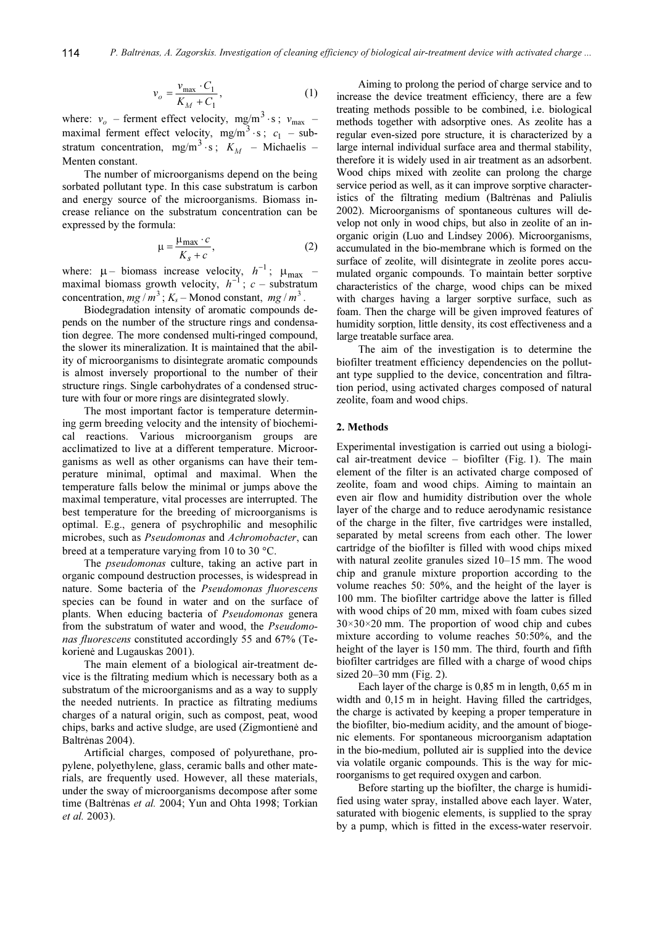$$
v_o = \frac{v_{\text{max}} \cdot C_1}{K_M + C_1},\tag{1}
$$

where:  $v_o$  – ferment effect velocity, mg/m<sup>3</sup> · s;  $v_{\text{max}}$  – maximal ferment effect velocity,  $mg/m^3 \cdot s$ ;  $c_1$  – substratum concentration, mg/m<sup>3</sup> s;  $K_M$  – Michaelis – Menten constant.

The number of microorganisms depend on the being sorbated pollutant type. In this case substratum is carbon and energy source of the microorganisms. Biomass increase reliance on the substratum concentration can be expressed by the formula:

$$
\mu = \frac{\mu_{\text{max}} \cdot c}{K_s + c},\tag{2}
$$

where:  $\mu$  – biomass increase velocity,  $h^{-1}$ ;  $\mu_{\text{max}}$  – maximal biomass growth velocity,  $h^{-1}$ ; c – substratum concentration,  $mg/m^3$ ;  $K_s$  – Monod constant,  $mg/m^3$ .

Biodegradation intensity of aromatic compounds depends on the number of the structure rings and condensation degree. The more condensed multi-ringed compound, the slower its mineralization. It is maintained that the ability of microorganisms to disintegrate aromatic compounds is almost inversely proportional to the number of their structure rings. Single carbohydrates of a condensed structure with four or more rings are disintegrated slowly.

The most important factor is temperature determining germ breeding velocity and the intensity of biochemical reactions. Various microorganism groups are acclimatized to live at a different temperature. Microorganisms as well as other organisms can have their temperature minimal, optimal and maximal. When the temperature falls below the minimal or jumps above the maximal temperature, vital processes are interrupted. The best temperature for the breeding of microorganisms is optimal. E.g., genera of psychrophilic and mesophilic microbes, such as Pseudomonas and Achromobacter, can breed at a temperature varying from 10 to 30 °C.

The pseudomonas culture, taking an active part in organic compound destruction processes, is widespread in nature. Some bacteria of the Pseudomonas fluorescens species can be found in water and on the surface of plants. When educing bacteria of Pseudomonas genera from the substratum of water and wood, the Pseudomonas fluorescens constituted accordingly 55 and 67% (Tekorienė and Lugauskas 2001).

The main element of a biological air-treatment device is the filtrating medium which is necessary both as a substratum of the microorganisms and as a way to supply the needed nutrients. In practice as filtrating mediums charges of a natural origin, such as compost, peat, wood chips, barks and active sludge, are used (Zigmontienė and Baltrėnas 2004).

Artificial charges, composed of polyurethane, propylene, polyethylene, glass, ceramic balls and other materials, are frequently used. However, all these materials, under the sway of microorganisms decompose after some time (Baltrėnas et al. 2004; Yun and Ohta 1998; Torkian et al. 2003).

Aiming to prolong the period of charge service and to increase the device treatment efficiency, there are a few treating methods possible to be combined, i.e. biological methods together with adsorptive ones. As zeolite has a regular even-sized pore structure, it is characterized by a large internal individual surface area and thermal stability, therefore it is widely used in air treatment as an adsorbent. Wood chips mixed with zeolite can prolong the charge service period as well, as it can improve sorptive characteristics of the filtrating medium (Baltrėnas and Paliulis 2002). Microorganisms of spontaneous cultures will develop not only in wood chips, but also in zeolite of an inorganic origin (Luo and Lindsey 2006). Microorganisms, accumulated in the bio-membrane which is formed on the surface of zeolite, will disintegrate in zeolite pores accumulated organic compounds. To maintain better sorptive characteristics of the charge, wood chips can be mixed with charges having a larger sorptive surface, such as foam. Then the charge will be given improved features of humidity sorption, little density, its cost effectiveness and a large treatable surface area.

The aim of the investigation is to determine the biofilter treatment efficiency dependencies on the pollutant type supplied to the device, concentration and filtration period, using activated charges composed of natural zeolite, foam and wood chips.

# 2. Methods

Experimental investigation is carried out using a biological air-treatment device  $-$  biofilter (Fig. 1). The main element of the filter is an activated charge composed of zeolite, foam and wood chips. Aiming to maintain an even air flow and humidity distribution over the whole layer of the charge and to reduce aerodynamic resistance of the charge in the filter, five cartridges were installed, separated by metal screens from each other. The lower cartridge of the biofilter is filled with wood chips mixed with natural zeolite granules sized 10–15 mm. The wood chip and granule mixture proportion according to the volume reaches 50: 50%, and the height of the layer is 100 mm. The biofilter cartridge above the latter is filled with wood chips of 20 mm, mixed with foam cubes sized  $30\times30\times20$  mm. The proportion of wood chip and cubes mixture according to volume reaches 50:50%, and the height of the layer is 150 mm. The third, fourth and fifth biofilter cartridges are filled with a charge of wood chips sized 20–30 mm (Fig. 2).

Each layer of the charge is 0,85 m in length, 0,65 m in width and 0,15 m in height. Having filled the cartridges, the charge is activated by keeping a proper temperature in the biofilter, bio-medium acidity, and the amount of biogenic elements. For spontaneous microorganism adaptation in the bio-medium, polluted air is supplied into the device via volatile organic compounds. This is the way for microorganisms to get required oxygen and carbon.

Before starting up the biofilter, the charge is humidified using water spray, installed above each layer. Water, saturated with biogenic elements, is supplied to the spray by a pump, which is fitted in the excess-water reservoir.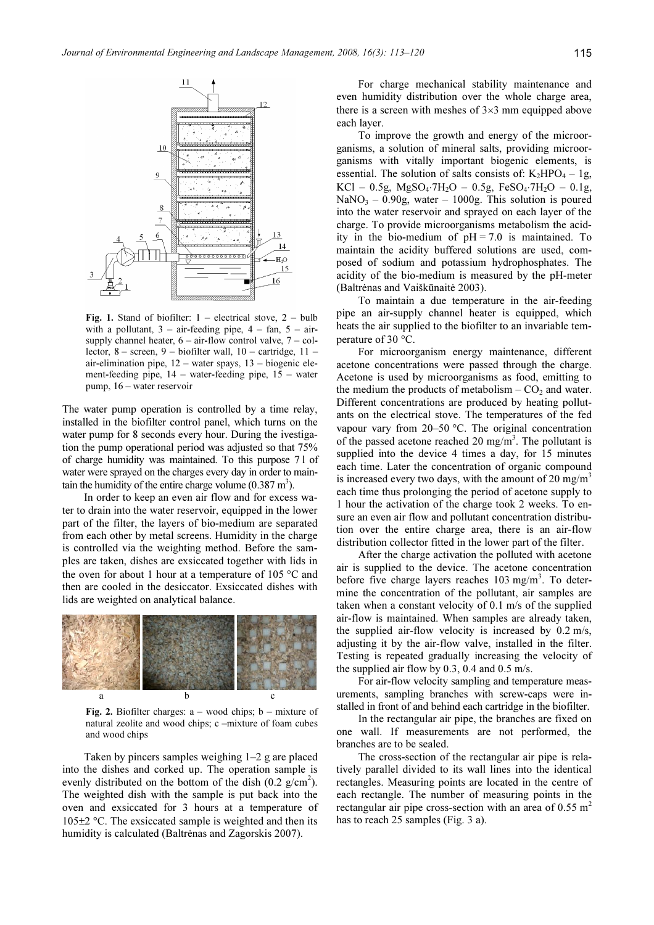

Fig. 1. Stand of biofilter:  $1$  – electrical stove,  $2$  – bulb with a pollutant,  $3 -$  air-feeding pipe,  $4 -$  fan,  $5 -$  airsupply channel heater,  $6 - air$ -flow control valve,  $7 - col$ lector,  $8$  – screen,  $9$  – biofilter wall,  $10$  – cartridge,  $11$  – air-elimination pipe, 12 – water spays, 13 – biogenic element-feeding pipe, 14 – water-feeding pipe, 15 – water pump, 16 – water reservoir

The water pump operation is controlled by a time relay, installed in the biofilter control panel, which turns on the water pump for 8 seconds every hour. During the ivestigation the pump operational period was adjusted so that 75% of charge humidity was maintained. To this purpose 7 l of water were sprayed on the charges every day in order to maintain the humidity of the entire charge volume  $(0.387 \text{ m}^3)$ .

In order to keep an even air flow and for excess water to drain into the water reservoir, equipped in the lower part of the filter, the layers of bio-medium are separated from each other by metal screens. Humidity in the charge is controlled via the weighting method. Before the samples are taken, dishes are exsiccated together with lids in the oven for about 1 hour at a temperature of 105 °C and then are cooled in the desiccator. Exsiccated dishes with lids are weighted on analytical balance.



Fig. 2. Biofilter charges:  $a - wood$  chips;  $b - mixture$  of natural zeolite and wood chips; c –mixture of foam cubes and wood chips

Taken by pincers samples weighing 1–2 g are placed into the dishes and corked up. The operation sample is evenly distributed on the bottom of the dish  $(0.2 \text{ g/cm}^2)$ . The weighted dish with the sample is put back into the oven and exsiccated for 3 hours at a temperature of  $105\pm2$  °C. The exsiccated sample is weighted and then its humidity is calculated (Baltrėnas and Zagorskis 2007).

For charge mechanical stability maintenance and even humidity distribution over the whole charge area, there is a screen with meshes of  $3\times3$  mm equipped above each layer.

To improve the growth and energy of the microorganisms, a solution of mineral salts, providing microorganisms with vitally important biogenic elements, is essential. The solution of salts consists of:  $K_2HPO_4 - 1g$ , KCl – 0.5g, MgSO<sub>4</sub>⋅7H<sub>2</sub>O – 0.5g, FeSO<sub>4</sub>⋅7H<sub>2</sub>O – 0.1g,  $NaNO<sub>3</sub> - 0.90g$ , water – 1000g. This solution is poured into the water reservoir and sprayed on each layer of the charge. To provide microorganisms metabolism the acidity in the bio-medium of  $pH = 7.0$  is maintained. To maintain the acidity buffered solutions are used, composed of sodium and potassium hydrophosphates. The acidity of the bio-medium is measured by the pH-meter (Baltrėnas and Vaiškūnaitė 2003).

To maintain a due temperature in the air-feeding pipe an air-supply channel heater is equipped, which heats the air supplied to the biofilter to an invariable temperature of 30 °C.

For microorganism energy maintenance, different acetone concentrations were passed through the charge. Acetone is used by microorganisms as food, emitting to the medium the products of metabolism  $-$  CO<sub>2</sub> and water. Different concentrations are produced by heating pollutants on the electrical stove. The temperatures of the fed vapour vary from 20–50 °C. The original concentration of the passed acetone reached 20 mg/m<sup>3</sup>. The pollutant is supplied into the device 4 times a day, for 15 minutes each time. Later the concentration of organic compound is increased every two days, with the amount of 20 mg/m<sup>3</sup> each time thus prolonging the period of acetone supply to 1 hour the activation of the charge took 2 weeks. To ensure an even air flow and pollutant concentration distribution over the entire charge area, there is an air-flow distribution collector fitted in the lower part of the filter.

After the charge activation the polluted with acetone air is supplied to the device. The acetone concentration before five charge layers reaches  $103 \text{ mg/m}^3$ . To determine the concentration of the pollutant, air samples are taken when a constant velocity of 0.1 m/s of the supplied air-flow is maintained. When samples are already taken, the supplied air-flow velocity is increased by 0.2 m/s, adjusting it by the air-flow valve, installed in the filter. Testing is repeated gradually increasing the velocity of the supplied air flow by 0.3, 0.4 and 0.5 m/s.

For air-flow velocity sampling and temperature measurements, sampling branches with screw-caps were installed in front of and behind each cartridge in the biofilter.

In the rectangular air pipe, the branches are fixed on one wall. If measurements are not performed, the branches are to be sealed.

The cross-section of the rectangular air pipe is relatively parallel divided to its wall lines into the identical rectangles. Measuring points are located in the centre of each rectangle. The number of measuring points in the rectangular air pipe cross-section with an area of  $0.55 \text{ m}^2$ has to reach 25 samples (Fig. 3 a).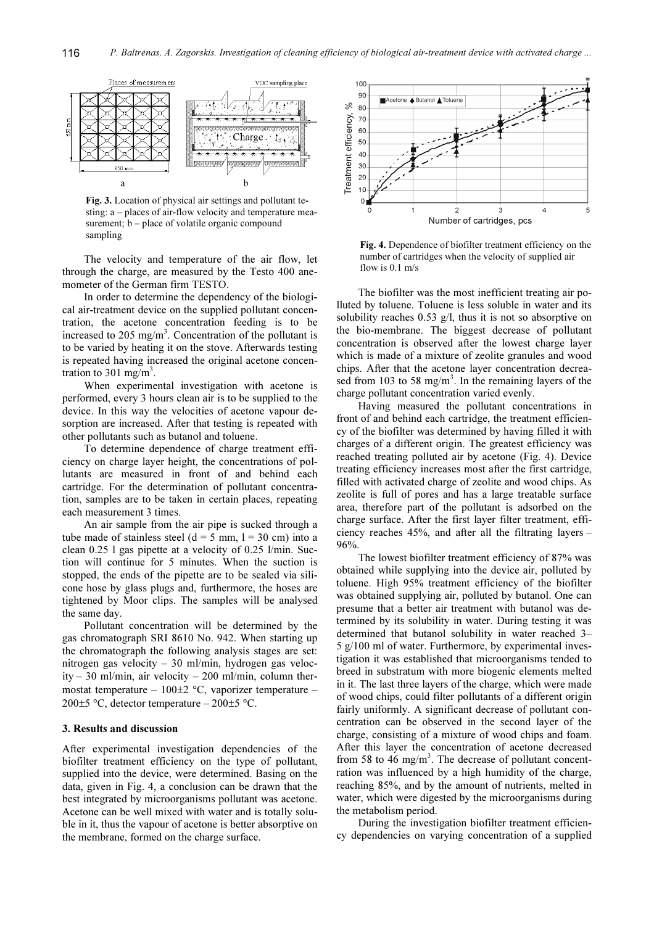

Fig. 3. Location of physical air settings and pollutant testing: a – places of air-flow velocity and temperature measurement; b – place of volatile organic compound sampling

The velocity and temperature of the air flow, let through the charge, are measured by the Testo 400 anemometer of the German firm TESTO.

In order to determine the dependency of the biological air-treatment device on the supplied pollutant concentration, the acetone concentration feeding is to be increased to 205 mg/m<sup>3</sup>. Concentration of the pollutant is to be varied by heating it on the stove. Afterwards testing is repeated having increased the original acetone concentration to 301 mg/m<sup>3</sup>.

When experimental investigation with acetone is performed, every 3 hours clean air is to be supplied to the device. In this way the velocities of acetone vapour desorption are increased. After that testing is repeated with other pollutants such as butanol and toluene.

To determine dependence of charge treatment efficiency on charge layer height, the concentrations of pollutants are measured in front of and behind each cartridge. For the determination of pollutant concentration, samples are to be taken in certain places, repeating each measurement 3 times.

An air sample from the air pipe is sucked through a tube made of stainless steel ( $d = 5$  mm,  $l = 30$  cm) into a clean 0.25 l gas pipette at a velocity of 0.25 l/min. Suction will continue for 5 minutes. When the suction is stopped, the ends of the pipette are to be sealed via silicone hose by glass plugs and, furthermore, the hoses are tightened by Moor clips. The samples will be analysed the same day.

Pollutant concentration will be determined by the gas chromatograph SRI 8610 No. 942. When starting up the chromatograph the following analysis stages are set: nitrogen gas velocity – 30 ml/min, hydrogen gas velocity – 30 ml/min, air velocity – 200 ml/min, column thermostat temperature – 100±2 °C, vaporizer temperature – 200 $\pm$ 5 °C, detector temperature – 200 $\pm$ 5 °C.

### 3. Results and discussion

After experimental investigation dependencies of the biofilter treatment efficiency on the type of pollutant, supplied into the device, were determined. Basing on the data, given in Fig. 4, a conclusion can be drawn that the best integrated by microorganisms pollutant was acetone. Acetone can be well mixed with water and is totally soluble in it, thus the vapour of acetone is better absorptive on the membrane, formed on the charge surface.



Fig. 4. Dependence of biofilter treatment efficiency on the number of cartridges when the velocity of supplied air flow is 0.1 m/s

The biofilter was the most inefficient treating air polluted by toluene. Toluene is less soluble in water and its solubility reaches 0.53 g/l, thus it is not so absorptive on the bio-membrane. The biggest decrease of pollutant concentration is observed after the lowest charge layer which is made of a mixture of zeolite granules and wood chips. After that the acetone layer concentration decreased from 103 to 58 mg/m<sup>3</sup>. In the remaining layers of the charge pollutant concentration varied evenly.

Having measured the pollutant concentrations in front of and behind each cartridge, the treatment efficiency of the biofilter was determined by having filled it with charges of a different origin. The greatest efficiency was reached treating polluted air by acetone (Fig. 4). Device treating efficiency increases most after the first cartridge, filled with activated charge of zeolite and wood chips. As zeolite is full of pores and has a large treatable surface area, therefore part of the pollutant is adsorbed on the charge surface. After the first layer filter treatment, efficiency reaches 45%, and after all the filtrating layers – 96%.

The lowest biofilter treatment efficiency of 87% was obtained while supplying into the device air, polluted by toluene. High 95% treatment efficiency of the biofilter was obtained supplying air, polluted by butanol. One can presume that a better air treatment with butanol was determined by its solubility in water. During testing it was determined that butanol solubility in water reached 3– 5 g/100 ml of water. Furthermore, by experimental investigation it was established that microorganisms tended to breed in substratum with more biogenic elements melted in it. The last three layers of the charge, which were made of wood chips, could filter pollutants of a different origin fairly uniformly. A significant decrease of pollutant concentration can be observed in the second layer of the charge, consisting of a mixture of wood chips and foam. After this layer the concentration of acetone decreased from 58 to  $46 \text{ mg/m}^3$ . The decrease of pollutant concentration was influenced by a high humidity of the charge, reaching 85%, and by the amount of nutrients, melted in water, which were digested by the microorganisms during the metabolism period.

During the investigation biofilter treatment efficiency dependencies on varying concentration of a supplied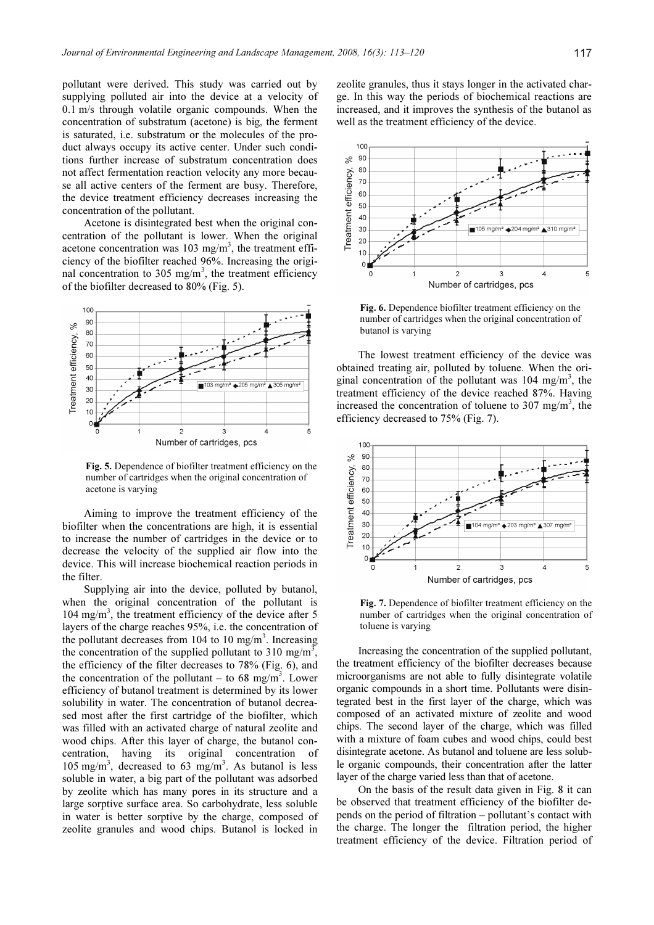pollutant were derived. This study was carried out by supplying polluted air into the device at a velocity of 0.1 m/s through volatile organic compounds. When the concentration of substratum (acetone) is big, the ferment is saturated, i.e. substratum or the molecules of the product always occupy its active center. Under such conditions further increase of substratum concentration does not affect fermentation reaction velocity any more because all active centers of the ferment are busy. Therefore, the device treatment efficiency decreases increasing the concentration of the pollutant.

Acetone is disintegrated best when the original concentration of the pollutant is lower. When the original acetone concentration was 103 mg/m<sup>3</sup>, the treatment efficiency of the biofilter reached 96%. Increasing the original concentration to 305 mg/m<sup>3</sup>, the treatment efficiency of the biofilter decreased to 80% (Fig. 5).



Fig. 5. Dependence of biofilter treatment efficiency on the number of cartridges when the original concentration of acetone is varying

Aiming to improve the treatment efficiency of the biofilter when the concentrations are high, it is essential to increase the number of cartridges in the device or to decrease the velocity of the supplied air flow into the device. This will increase biochemical reaction periods in the filter.

Supplying air into the device, polluted by butanol, when the original concentration of the pollutant is 104 mg/m<sup>3</sup> , the treatment efficiency of the device after 5 layers of the charge reaches 95%, i.e. the concentration of the pollutant decreases from  $104$  to  $10 \text{ mg/m}^3$ . Increasing the concentration of the supplied pollutant to 310 mg/m<sup>3</sup>, the efficiency of the filter decreases to 78% (Fig. 6), and the concentration of the pollutant – to 68 mg/m<sup>3</sup>. Lower efficiency of butanol treatment is determined by its lower solubility in water. The concentration of butanol decreased most after the first cartridge of the biofilter, which was filled with an activated charge of natural zeolite and wood chips. After this layer of charge, the butanol concentration, having its original concentration of  $105 \text{ mg/m}^3$ , decreased to 63 mg/m<sup>3</sup>. As butanol is less soluble in water, a big part of the pollutant was adsorbed by zeolite which has many pores in its structure and a large sorptive surface area. So carbohydrate, less soluble in water is better sorptive by the charge, composed of zeolite granules and wood chips. Butanol is locked in

zeolite granules, thus it stays longer in the activated charge. In this way the periods of biochemical reactions are increased, and it improves the synthesis of the butanol as well as the treatment efficiency of the device.



Fig. 6. Dependence biofilter treatment efficiency on the number of cartridges when the original concentration of butanol is varying

The lowest treatment efficiency of the device was obtained treating air, polluted by toluene. When the original concentration of the pollutant was  $104 \text{ mg/m}^3$ , the treatment efficiency of the device reached 87%. Having increased the concentration of toluene to 307 mg/m<sup>3</sup>, the efficiency decreased to 75% (Fig. 7).



Fig. 7. Dependence of biofilter treatment efficiency on the number of cartridges when the original concentration of toluene is varying

Increasing the concentration of the supplied pollutant, the treatment efficiency of the biofilter decreases because microorganisms are not able to fully disintegrate volatile organic compounds in a short time. Pollutants were disintegrated best in the first layer of the charge, which was composed of an activated mixture of zeolite and wood chips. The second layer of the charge, which was filled with a mixture of foam cubes and wood chips, could best disintegrate acetone. As butanol and toluene are less soluble organic compounds, their concentration after the latter layer of the charge varied less than that of acetone.

On the basis of the result data given in Fig. 8 it can be observed that treatment efficiency of the biofilter depends on the period of filtration – pollutant's contact with the charge. The longer the filtration period, the higher treatment efficiency of the device. Filtration period of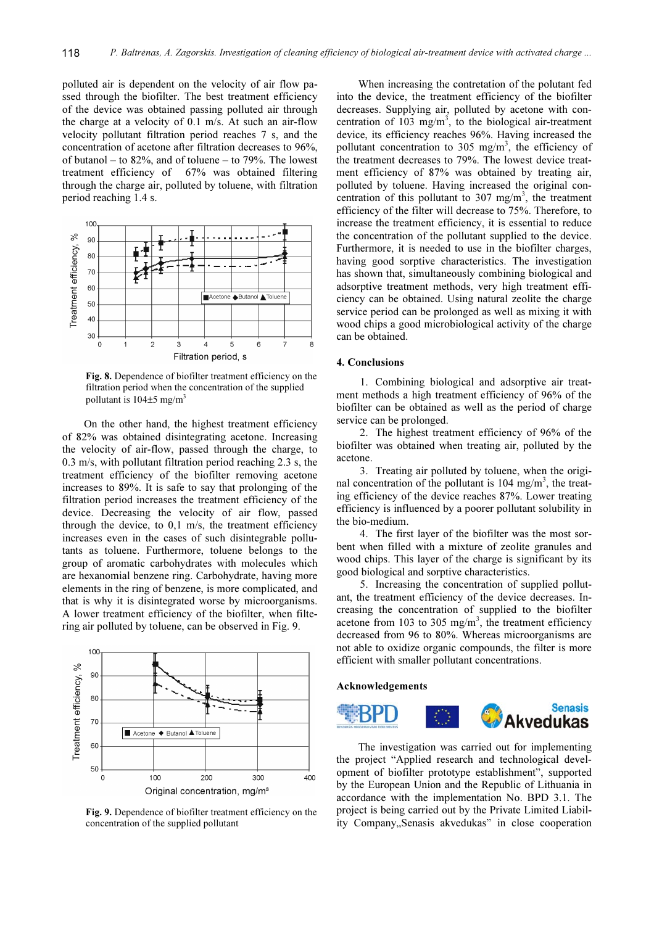polluted air is dependent on the velocity of air flow passed through the biofilter. The best treatment efficiency of the device was obtained passing polluted air through the charge at a velocity of 0.1 m/s. At such an air-flow velocity pollutant filtration period reaches 7 s, and the concentration of acetone after filtration decreases to 96%, of butanol – to 82%, and of toluene – to 79%. The lowest treatment efficiency of 67% was obtained filtering through the charge air, polluted by toluene, with filtration period reaching 1.4 s.



Fig. 8. Dependence of biofilter treatment efficiency on the filtration period when the concentration of the supplied pollutant is  $104\pm5$  mg/m<sup>3</sup>

On the other hand, the highest treatment efficiency of 82% was obtained disintegrating acetone. Increasing the velocity of air-flow, passed through the charge, to 0.3 m/s, with pollutant filtration period reaching 2.3 s, the treatment efficiency of the biofilter removing acetone increases to 89%. It is safe to say that prolonging of the filtration period increases the treatment efficiency of the device. Decreasing the velocity of air flow, passed through the device, to 0,1 m/s, the treatment efficiency increases even in the cases of such disintegrable pollutants as toluene. Furthermore, toluene belongs to the group of aromatic carbohydrates with molecules which are hexanomial benzene ring. Carbohydrate, having more elements in the ring of benzene, is more complicated, and that is why it is disintegrated worse by microorganisms. A lower treatment efficiency of the biofilter, when filtering air polluted by toluene, can be observed in Fig. 9.



Fig. 9. Dependence of biofilter treatment efficiency on the concentration of the supplied pollutant

When increasing the contretation of the polutant fed into the device, the treatment efficiency of the biofilter decreases. Supplying air, polluted by acetone with concentration of  $\frac{11}{2}$  mg/m<sup>3</sup>, to the biological air-treatment device, its efficiency reaches 96%. Having increased the pollutant concentration to 305 mg/m<sup>3</sup>, the efficiency of the treatment decreases to 79%. The lowest device treatment efficiency of 87% was obtained by treating air, polluted by toluene. Having increased the original concentration of this pollutant to 307 mg/m<sup>3</sup>, the treatment efficiency of the filter will decrease to 75%. Therefore, to increase the treatment efficiency, it is essential to reduce the concentration of the pollutant supplied to the device. Furthermore, it is needed to use in the biofilter charges, having good sorptive characteristics. The investigation has shown that, simultaneously combining biological and adsorptive treatment methods, very high treatment efficiency can be obtained. Using natural zeolite the charge service period can be prolonged as well as mixing it with wood chips a good microbiological activity of the charge can be obtained.

#### 4. Conclusions

1. Combining biological and adsorptive air treatment methods a high treatment efficiency of 96% of the biofilter can be obtained as well as the period of charge service can be prolonged.

2. The highest treatment efficiency of 96% of the biofilter was obtained when treating air, polluted by the acetone.

3. Treating air polluted by toluene, when the original concentration of the pollutant is  $104 \text{ mg/m}^3$ , the treating efficiency of the device reaches 87%. Lower treating efficiency is influenced by a poorer pollutant solubility in the bio-medium.

4. The first layer of the biofilter was the most sorbent when filled with a mixture of zeolite granules and wood chips. This layer of the charge is significant by its good biological and sorptive characteristics.

5. Increasing the concentration of supplied pollutant, the treatment efficiency of the device decreases. Increasing the concentration of supplied to the biofilter acetone from 103 to 305 mg/m<sup>3</sup>, the treatment efficiency decreased from 96 to 80%. Whereas microorganisms are not able to oxidize organic compounds, the filter is more efficient with smaller pollutant concentrations.

Acknowledgements



The investigation was carried out for implementing the project "Applied research and technological development of biofilter prototype establishment", supported by the European Union and the Republic of Lithuania in accordance with the implementation No. BPD 3.1. The project is being carried out by the Private Limited Liability Company, Senasis akvedukas" in close cooperation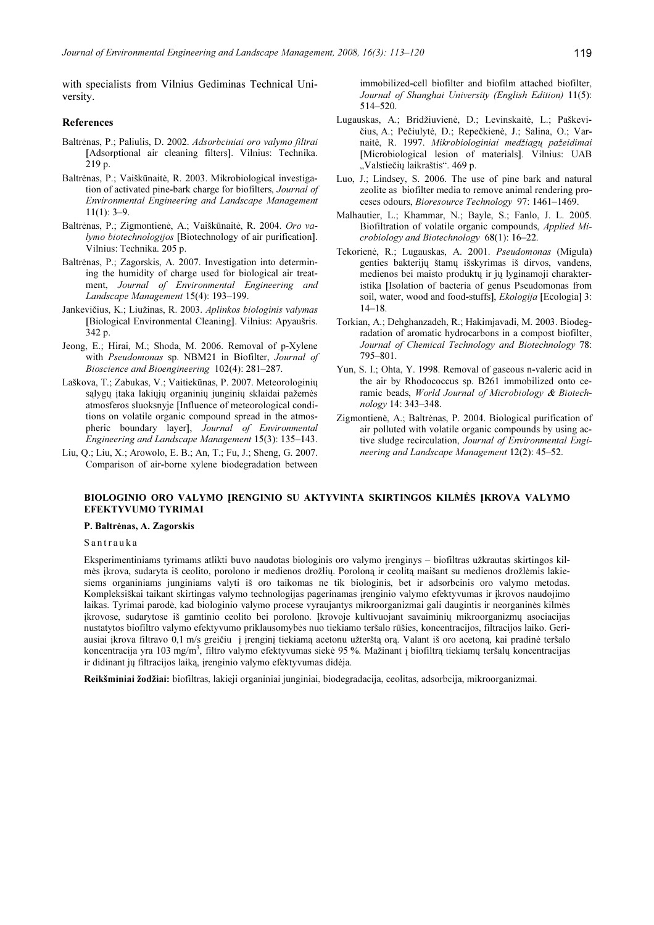with specialists from Vilnius Gediminas Technical University.

#### References

- Baltrėnas, P.; Paliulis, D. 2002. Adsorbciniai oro valymo filtrai [Adsorptional air cleaning filters]. Vilnius: Technika. 219 p.
- Baltrėnas, P.; Vaiškūnaitė, R. 2003. Mikrobiological investigation of activated pine-bark charge for biofilters, Journal of Environmental Engineering and Landscape Management  $11(1)$ : 3–9.
- Baltrėnas, P.; Zigmontienė, A.; Vaiškūnaitė, R. 2004. Oro valymo biotechnologijos [Biotechnology of air purification]. Vilnius: Technika. 205 p.
- Baltrėnas, P.; Zagorskis, A. 2007. Investigation into determining the humidity of charge used for biological air treatment, Journal of Environmental Engineering and Landscape Management 15(4): 193–199.
- Jankevičius, K.; Liužinas, R. 2003. Aplinkos biologinis valymas [Biological Environmental Cleaning]. Vilnius: Apyaušris. 342 p.
- Jeong, E.; Hirai, M.; Shoda, M. 2006. Removal of p-Xylene with Pseudomonas sp. NBM21 in Biofilter, Journal of Bioscience and Bioengineering 102(4): 281–287.
- Laškova, T.; Zabukas, V.; Vaitiekūnas, P. 2007. Meteorologinių sąlygų įtaka lakiųjų organinių junginių sklaidai pažemės atmosferos sluoksnyje [Influence of meteorological conditions on volatile organic compound spread in the atmospheric boundary layer], Journal of Environmental Engineering and Landscape Management 15(3): 135–143.
- Liu, Q.; Liu, X.; Arowolo, E. B.; An, T.; Fu, J.; Sheng, G. 2007. Comparison of air-borne xylene biodegradation between

immobilized-cell biofilter and biofilm attached biofilter, Journal of Shanghai University (English Edition) 11(5): 514–520.

- Lugauskas, A.; Bridžiuvienė, D.; Levinskaitė, L.; Paškevičius, A.; Pečiulytė, D.; Repečkienė, J.; Salina, O.; Varnaitė, R. 1997. Mikrobiologiniai medžiagų pažeidimai [Microbiological lesion of materials]. Vilnius: UAB "Valstiečių laikraštis". 469 p.
- Luo, J.; Lindsey, S. 2006. The use of pine bark and natural zeolite as biofilter media to remove animal rendering proceses odours, Bioresource Technology 97: 1461–1469.
- Malhautier, L.; Khammar, N.; Bayle, S.; Fanlo, J. L. 2005. Biofiltration of volatile organic compounds, Applied Microbiology and Biotechnology 68(1): 16–22.
- Tekorienė, R.; Lugauskas, A. 2001. Pseudomonas (Migula) genties bakterijų štamų išskyrimas iš dirvos, vandens, medienos bei maisto produktų ir jų lyginamoji charakteristika [Isolation of bacteria of genus Pseudomonas from soil, water, wood and food-stuffs], Ekologija [Ecologia] 3: 14–18.
- Torkian, A.; Dehghanzadeh, R.; Hakimjavadi, M. 2003. Biodegradation of aromatic hydrocarbons in a compost biofilter, Journal of Chemical Technology and Biotechnology 78: 795–801.
- Yun, S. I.; Ohta, Y. 1998. Removal of gaseous n-valeric acid in the air by Rhodococcus sp. B261 immobilized onto ceramic beads, World Journal of Microbiology  $& Biotechnology$ nology 14: 343–348.
- Zigmontienė, A.; Baltrėnas, P. 2004. Biological purification of air polluted with volatile organic compounds by using active sludge recirculation, Journal of Environmental Engineering and Landscape Management 12(2): 45–52.

# BIOLOGINIO ORO VALYMO ĮRENGINIO SU AKTYVINTA SKIRTINGOS KILMĖS ĮKROVA VALYMO EFEKTYVUMO TYRIMAI

#### P. Baltrėnas, A. Zagorskis

Santrauka

Eksperimentiniams tyrimams atlikti buvo naudotas biologinis oro valymo įrenginys – biofiltras užkrautas skirtingos kilmės įkrova, sudaryta iš ceolito, porolono ir medienos drožlių. Poroloną ir ceolitą maišant su medienos drožlėmis lakiesiems organiniams junginiams valyti iš oro taikomas ne tik biologinis, bet ir adsorbcinis oro valymo metodas. Kompleksiškai taikant skirtingas valymo technologijas pagerinamas įrenginio valymo efektyvumas ir įkrovos naudojimo laikas. Tyrimai parodė, kad biologinio valymo procese vyraujantys mikroorganizmai gali daugintis ir neorganinės kilmės įkrovose, sudarytose iš gamtinio ceolito bei porolono. Įkrovoje kultivuojant savaiminių mikroorganizmų asociacijas nustatytos biofiltro valymo efektyvumo priklausomybės nuo tiekiamo teršalo rūšies, koncentracijos, filtracijos laiko. Geriausiai įkrova filtravo 0,1 m/s greičiu į įrenginį tiekiamą acetonu užterštą orą. Valant iš oro acetoną, kai pradinė teršalo koncentracija yra 103 mg/m<sup>3</sup> , filtro valymo efektyvumas siekė 95 %. Mažinant į biofiltrą tiekiamų teršalų koncentracijas ir didinant jų filtracijos laiką, įrenginio valymo efektyvumas didėja.

Reikšminiai žodžiai: biofiltras, lakieji organiniai junginiai, biodegradacija, ceolitas, adsorbcija, mikroorganizmai.